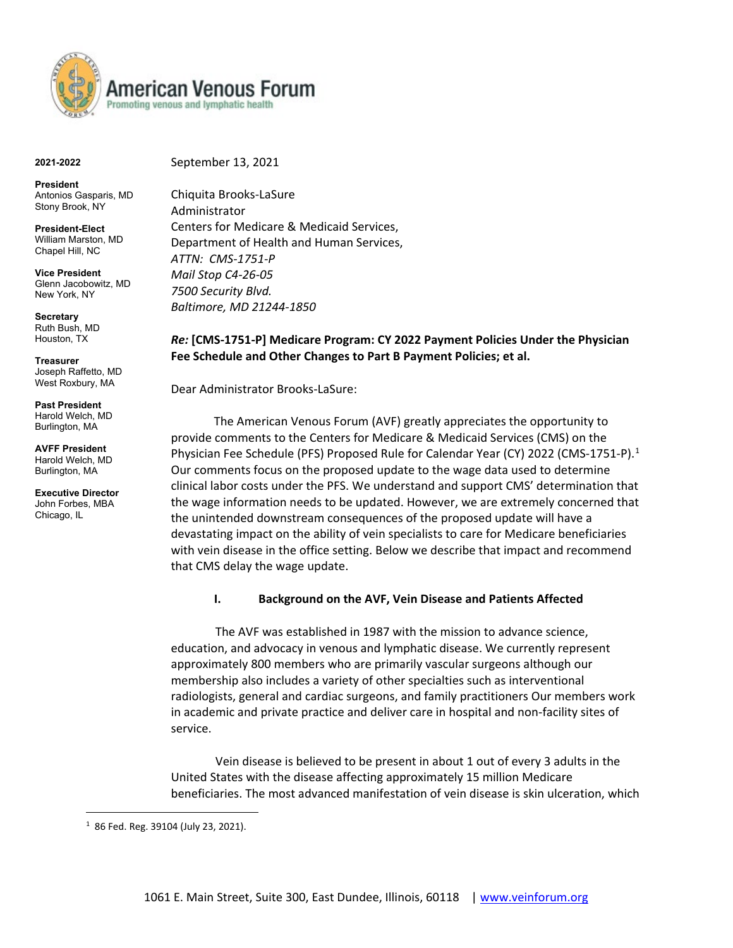

**2021-2022**

#### September 13, 2021

**President**  Antonios Gasparis, MD Stony Brook, NY

**President-Elect**  William Marston, MD Chapel Hill, NC

**Vice President**  Glenn Jacobowitz, MD New York, NY

**Secretary**  Ruth Bush, MD Houston, TX

**Treasurer**  Joseph Raffetto, MD West Roxbury, MA

**Past President**  Harold Welch, MD Burlington, MA

**AVFF President**  Harold Welch, MD Burlington, MA

**Executive Director**  John Forbes, MBA Chicago, IL

 $\overline{a}$ 

Chiquita Brooks-LaSure Administrator Centers for Medicare & Medicaid Services, Department of Health and Human Services, *ATTN: CMS-1751-P Mail Stop C4-26-05 7500 Security Blvd. Baltimore, MD 21244-1850*

# *Re:* **[CMS-1751-P] Medicare Program: CY 2022 Payment Policies Under the Physician Fee Schedule and Other Changes to Part B Payment Policies; et al.**

Dear Administrator Brooks-LaSure:

The American Venous Forum (AVF) greatly appreciates the opportunity to provide comments to the Centers for Medicare & Medicaid Services (CMS) on the Physician Fee Schedule (PFS) Proposed Rule for Calendar Year (CY) 2022 (CMS-[1](#page-0-0)751-P).<sup>1</sup> Our comments focus on the proposed update to the wage data used to determine clinical labor costs under the PFS. We understand and support CMS' determination that the wage information needs to be updated. However, we are extremely concerned that the unintended downstream consequences of the proposed update will have a devastating impact on the ability of vein specialists to care for Medicare beneficiaries with vein disease in the office setting. Below we describe that impact and recommend that CMS delay the wage update.

## **I. Background on the AVF, Vein Disease and Patients Affected**

 The AVF was established in 1987 with the mission to advance science, education, and advocacy in venous and lymphatic disease. We currently represent approximately 800 members who are primarily vascular surgeons although our membership also includes a variety of other specialties such as interventional radiologists, general and cardiac surgeons, and family practitioners Our members work in academic and private practice and deliver care in hospital and non-facility sites of service.

 Vein disease is believed to be present in about 1 out of every 3 adults in the United States with the disease affecting approximately 15 million Medicare beneficiaries. The most advanced manifestation of vein disease is skin ulceration, which

<span id="page-0-0"></span> $1$  86 Fed. Reg. 39104 (July 23, 2021).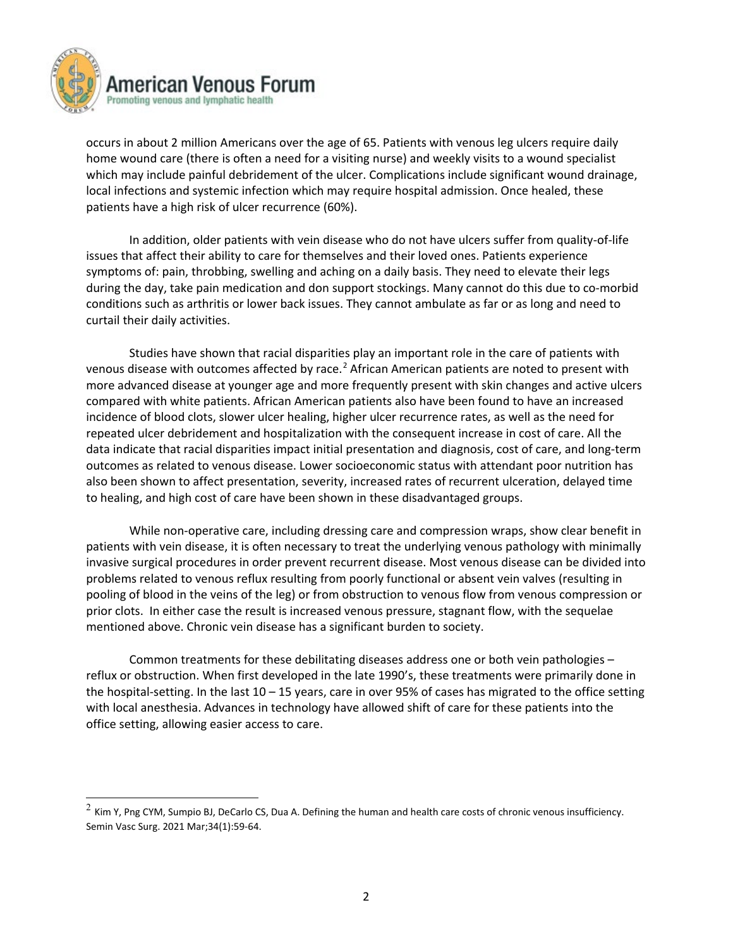

 $\overline{a}$ 

occurs in about 2 million Americans over the age of 65. Patients with venous leg ulcers require daily home wound care (there is often a need for a visiting nurse) and weekly visits to a wound specialist which may include painful debridement of the ulcer. Complications include significant wound drainage, local infections and systemic infection which may require hospital admission. Once healed, these patients have a high risk of ulcer recurrence (60%).

In addition, older patients with vein disease who do not have ulcers suffer from quality-of-life issues that affect their ability to care for themselves and their loved ones. Patients experience symptoms of: pain, throbbing, swelling and aching on a daily basis. They need to elevate their legs during the day, take pain medication and don support stockings. Many cannot do this due to co-morbid conditions such as arthritis or lower back issues. They cannot ambulate as far or as long and need to curtail their daily activities.

Studies have shown that racial disparities play an important role in the care of patients with venous disease with outcomes affected by race.<sup>[2](#page-1-0)</sup> African American patients are noted to present with more advanced disease at younger age and more frequently present with skin changes and active ulcers compared with white patients. African American patients also have been found to have an increased incidence of blood clots, slower ulcer healing, higher ulcer recurrence rates, as well as the need for repeated ulcer debridement and hospitalization with the consequent increase in cost of care. All the data indicate that racial disparities impact initial presentation and diagnosis, cost of care, and long-term outcomes as related to venous disease. Lower socioeconomic status with attendant poor nutrition has also been shown to affect presentation, severity, increased rates of recurrent ulceration, delayed time to healing, and high cost of care have been shown in these disadvantaged groups.

While non-operative care, including dressing care and compression wraps, show clear benefit in patients with vein disease, it is often necessary to treat the underlying venous pathology with minimally invasive surgical procedures in order prevent recurrent disease. Most venous disease can be divided into problems related to venous reflux resulting from poorly functional or absent vein valves (resulting in pooling of blood in the veins of the leg) or from obstruction to venous flow from venous compression or prior clots. In either case the result is increased venous pressure, stagnant flow, with the sequelae mentioned above. Chronic vein disease has a significant burden to society.

Common treatments for these debilitating diseases address one or both vein pathologies – reflux or obstruction. When first developed in the late 1990's, these treatments were primarily done in the hospital-setting. In the last 10 – 15 years, care in over 95% of cases has migrated to the office setting with local anesthesia. Advances in technology have allowed shift of care for these patients into the office setting, allowing easier access to care.

<span id="page-1-0"></span> $^2$  Kim Y, Png CYM, Sumpio BJ, DeCarlo CS, Dua A. Defining the human and health care costs of chronic venous insufficiency. Semin Vasc Surg. 2021 Mar;34(1):59-64.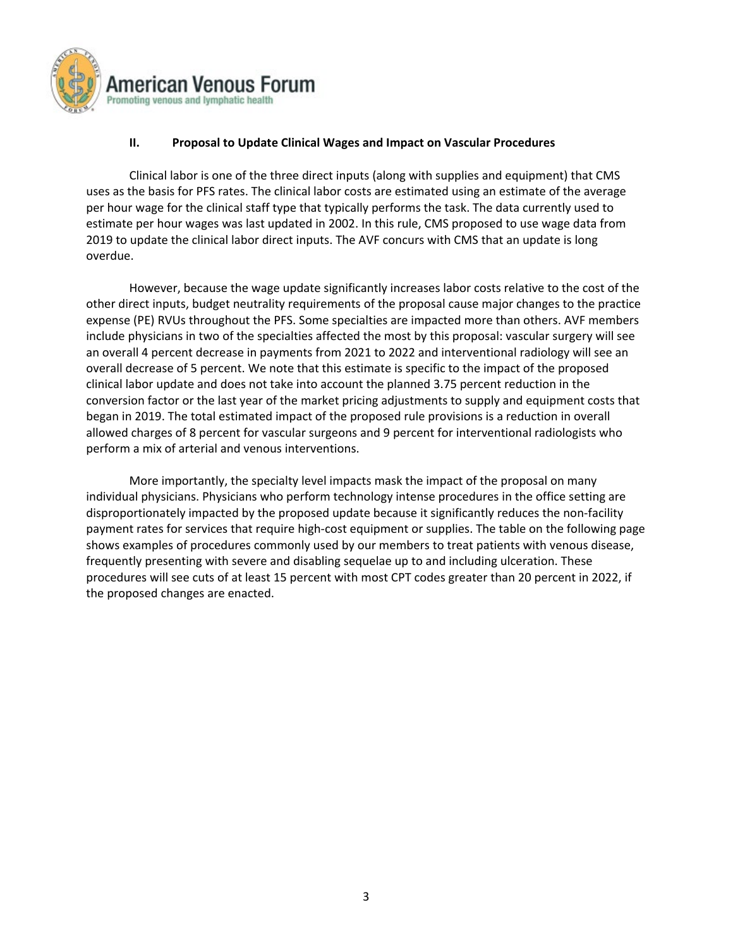

## **II. Proposal to Update Clinical Wages and Impact on Vascular Procedures**

Clinical labor is one of the three direct inputs (along with supplies and equipment) that CMS uses as the basis for PFS rates. The clinical labor costs are estimated using an estimate of the average per hour wage for the clinical staff type that typically performs the task. The data currently used to estimate per hour wages was last updated in 2002. In this rule, CMS proposed to use wage data from 2019 to update the clinical labor direct inputs. The AVF concurs with CMS that an update is long overdue.

However, because the wage update significantly increases labor costs relative to the cost of the other direct inputs, budget neutrality requirements of the proposal cause major changes to the practice expense (PE) RVUs throughout the PFS. Some specialties are impacted more than others. AVF members include physicians in two of the specialties affected the most by this proposal: vascular surgery will see an overall 4 percent decrease in payments from 2021 to 2022 and interventional radiology will see an overall decrease of 5 percent. We note that this estimate is specific to the impact of the proposed clinical labor update and does not take into account the planned 3.75 percent reduction in the conversion factor or the last year of the market pricing adjustments to supply and equipment costs that began in 2019. The total estimated impact of the proposed rule provisions is a reduction in overall allowed charges of 8 percent for vascular surgeons and 9 percent for interventional radiologists who perform a mix of arterial and venous interventions.

More importantly, the specialty level impacts mask the impact of the proposal on many individual physicians. Physicians who perform technology intense procedures in the office setting are disproportionately impacted by the proposed update because it significantly reduces the non-facility payment rates for services that require high-cost equipment or supplies. The table on the following page shows examples of procedures commonly used by our members to treat patients with venous disease, frequently presenting with severe and disabling sequelae up to and including ulceration. These procedures will see cuts of at least 15 percent with most CPT codes greater than 20 percent in 2022, if the proposed changes are enacted.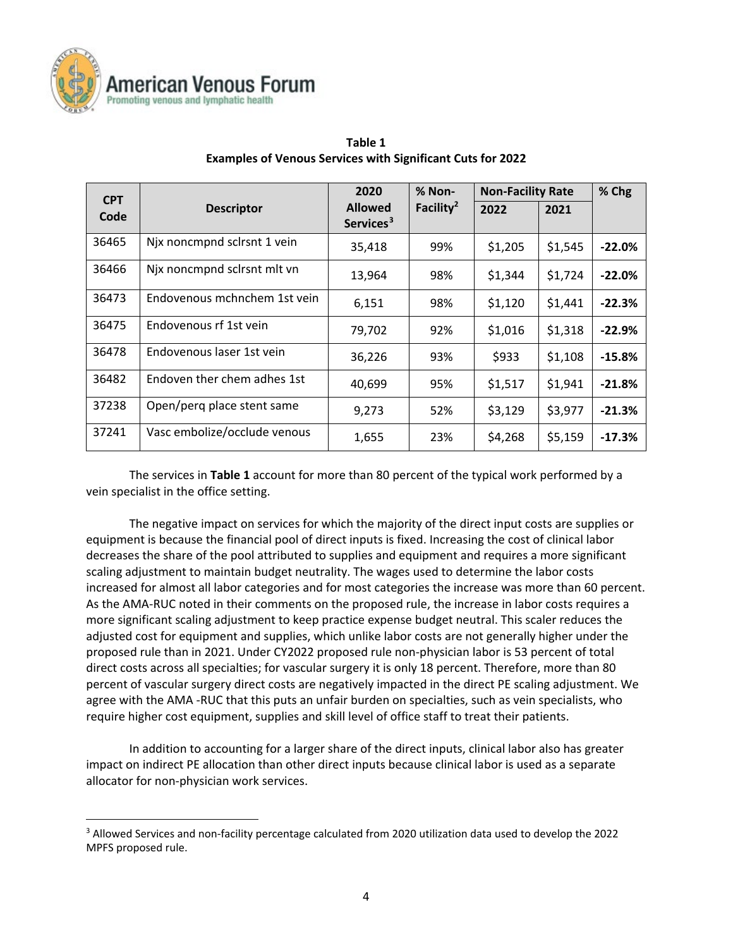

 $\overline{a}$ 

| <b>CPT</b> |                              | 2020                                    | % Non-                | <b>Non-Facility Rate</b> |         | % Chg    |
|------------|------------------------------|-----------------------------------------|-----------------------|--------------------------|---------|----------|
| Code       | <b>Descriptor</b>            | <b>Allowed</b><br>Services <sup>3</sup> | Facility <sup>2</sup> | 2022                     | 2021    |          |
| 36465      | Njx noncmpnd sclrsnt 1 vein  | 35,418                                  | 99%                   | \$1,205                  | \$1,545 | $-22.0%$ |
| 36466      | Njx noncmpnd sclrsnt mlt vn  | 13,964                                  | 98%                   | \$1,344                  | \$1,724 | $-22.0%$ |
| 36473      | Endovenous mchnchem 1st vein | 6,151                                   | 98%                   | \$1,120                  | \$1,441 | $-22.3%$ |
| 36475      | Endovenous rf 1st vein       | 79,702                                  | 92%                   | \$1,016                  | \$1,318 | $-22.9%$ |
| 36478      | Endovenous laser 1st vein    | 36,226                                  | 93%                   | \$933                    | \$1,108 | $-15.8%$ |
| 36482      | Endoven ther chem adhes 1st  | 40,699                                  | 95%                   | \$1,517                  | \$1,941 | $-21.8%$ |
| 37238      | Open/perg place stent same   | 9,273                                   | 52%                   | \$3,129                  | \$3,977 | $-21.3%$ |
| 37241      | Vasc embolize/occlude venous | 1,655                                   | 23%                   | \$4,268                  | \$5,159 | $-17.3%$ |

## **Table 1 Examples of Venous Services with Significant Cuts for 2022**

The services in **Table 1** account for more than 80 percent of the typical work performed by a vein specialist in the office setting.

The negative impact on services for which the majority of the direct input costs are supplies or equipment is because the financial pool of direct inputs is fixed. Increasing the cost of clinical labor decreases the share of the pool attributed to supplies and equipment and requires a more significant scaling adjustment to maintain budget neutrality. The wages used to determine the labor costs increased for almost all labor categories and for most categories the increase was more than 60 percent. As the AMA-RUC noted in their comments on the proposed rule, the increase in labor costs requires a more significant scaling adjustment to keep practice expense budget neutral. This scaler reduces the adjusted cost for equipment and supplies, which unlike labor costs are not generally higher under the proposed rule than in 2021. Under CY2022 proposed rule non-physician labor is 53 percent of total direct costs across all specialties; for vascular surgery it is only 18 percent. Therefore, more than 80 percent of vascular surgery direct costs are negatively impacted in the direct PE scaling adjustment. We agree with the AMA -RUC that this puts an unfair burden on specialties, such as vein specialists, who require higher cost equipment, supplies and skill level of office staff to treat their patients.

In addition to accounting for a larger share of the direct inputs, clinical labor also has greater impact on indirect PE allocation than other direct inputs because clinical labor is used as a separate allocator for non-physician work services.

<span id="page-3-0"></span><sup>&</sup>lt;sup>3</sup> Allowed Services and non-facility percentage calculated from 2020 utilization data used to develop the 2022 MPFS proposed rule.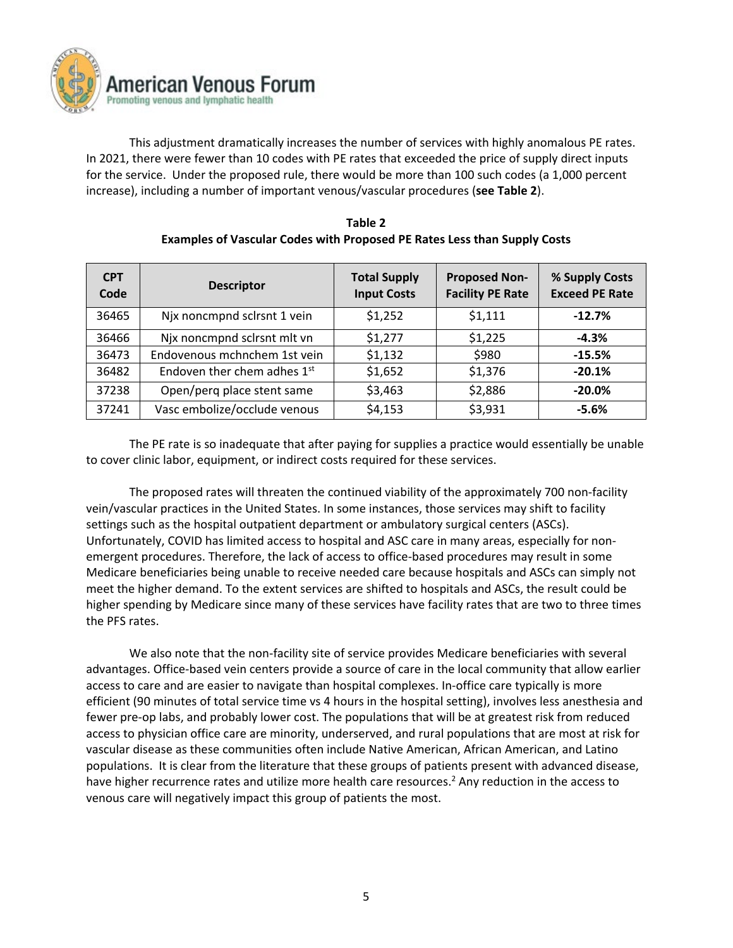

This adjustment dramatically increases the number of services with highly anomalous PE rates. In 2021, there were fewer than 10 codes with PE rates that exceeded the price of supply direct inputs for the service. Under the proposed rule, there would be more than 100 such codes (a 1,000 percent increase), including a number of important venous/vascular procedures (**see Table 2**).

| <b>CPT</b><br>Code | <b>Descriptor</b>            | <b>Total Supply</b><br><b>Input Costs</b> | <b>Proposed Non-</b><br><b>Facility PE Rate</b> | % Supply Costs<br><b>Exceed PE Rate</b> |
|--------------------|------------------------------|-------------------------------------------|-------------------------------------------------|-----------------------------------------|
| 36465              | Njx noncmpnd sclrsnt 1 vein  | \$1,252                                   | \$1,111                                         | $-12.7%$                                |
| 36466              | Njx noncmpnd sclrsnt mlt vn  | \$1,277                                   | \$1,225                                         | $-4.3%$                                 |
| 36473              | Endovenous mchnchem 1st vein | \$1,132                                   | \$980                                           | $-15.5%$                                |
| 36482              | Endoven ther chem adhes 1st  | \$1,652                                   | \$1,376                                         | $-20.1%$                                |
| 37238              | Open/perg place stent same   | \$3,463                                   | \$2,886                                         | $-20.0%$                                |
| 37241              | Vasc embolize/occlude venous | \$4,153                                   | \$3,931                                         | $-5.6%$                                 |

**Table 2 Examples of Vascular Codes with Proposed PE Rates Less than Supply Costs**

The PE rate is so inadequate that after paying for supplies a practice would essentially be unable to cover clinic labor, equipment, or indirect costs required for these services.

The proposed rates will threaten the continued viability of the approximately 700 non-facility vein/vascular practices in the United States. In some instances, those services may shift to facility settings such as the hospital outpatient department or ambulatory surgical centers (ASCs). Unfortunately, COVID has limited access to hospital and ASC care in many areas, especially for nonemergent procedures. Therefore, the lack of access to office-based procedures may result in some Medicare beneficiaries being unable to receive needed care because hospitals and ASCs can simply not meet the higher demand. To the extent services are shifted to hospitals and ASCs, the result could be higher spending by Medicare since many of these services have facility rates that are two to three times the PFS rates.

We also note that the non-facility site of service provides Medicare beneficiaries with several advantages. Office-based vein centers provide a source of care in the local community that allow earlier access to care and are easier to navigate than hospital complexes. In-office care typically is more efficient (90 minutes of total service time vs 4 hours in the hospital setting), involves less anesthesia and fewer pre-op labs, and probably lower cost. The populations that will be at greatest risk from reduced access to physician office care are minority, underserved, and rural populations that are most at risk for vascular disease as these communities often include Native American, African American, and Latino populations. It is clear from the literature that these groups of patients present with advanced disease, have higher recurrence rates and utilize more health care resources.<sup>2</sup> Any reduction in the access to venous care will negatively impact this group of patients the most.